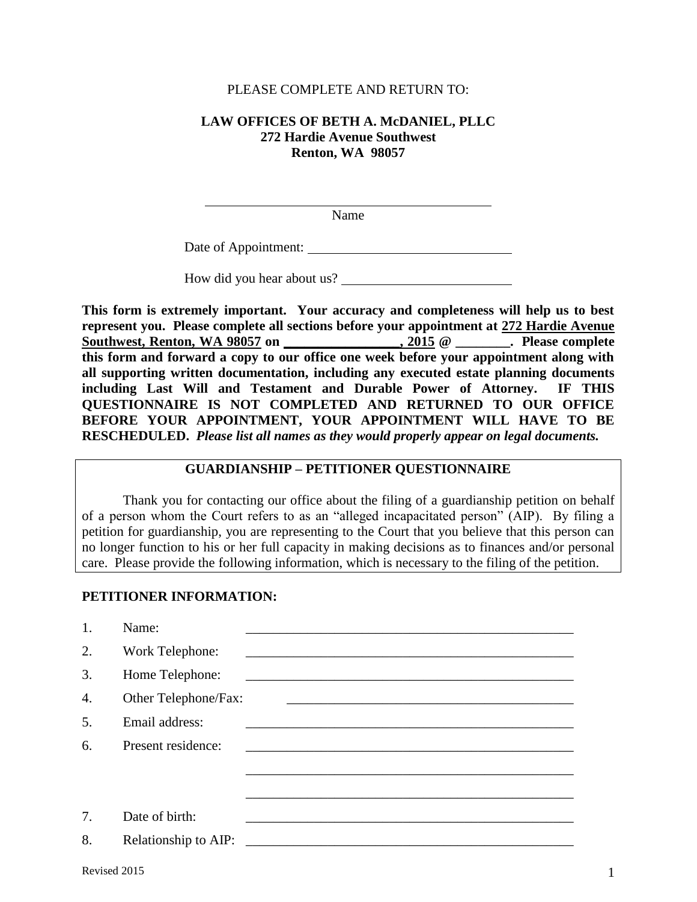#### PLEASE COMPLETE AND RETURN TO:

### **LAW OFFICES OF BETH A. McDANIEL, PLLC 272 Hardie Avenue Southwest Renton, WA 98057**

Name

Date of Appointment:

How did you hear about us?

**This form is extremely important. Your accuracy and completeness will help us to best represent you. Please complete all sections before your appointment at 272 Hardie Avenue Southwest, Renton, WA 98057 on \_\_\_\_\_\_\_\_\_\_\_\_\_\_\_\_\_, 2015 @ \_\_\_\_\_\_\_\_. Please complete this form and forward a copy to our office one week before your appointment along with all supporting written documentation, including any executed estate planning documents including Last Will and Testament and Durable Power of Attorney. IF THIS QUESTIONNAIRE IS NOT COMPLETED AND RETURNED TO OUR OFFICE BEFORE YOUR APPOINTMENT, YOUR APPOINTMENT WILL HAVE TO BE RESCHEDULED.** *Please list all names as they would properly appear on legal documents.*

### **GUARDIANSHIP – PETITIONER QUESTIONNAIRE**

 Thank you for contacting our office about the filing of a guardianship petition on behalf of a person whom the Court refers to as an "alleged incapacitated person" (AIP). By filing a petition for guardianship, you are representing to the Court that you believe that this person can no longer function to his or her full capacity in making decisions as to finances and/or personal care. Please provide the following information, which is necessary to the filing of the petition.

### **PETITIONER INFORMATION:**

l

| 1. | Name:                |                                                                                                                       |
|----|----------------------|-----------------------------------------------------------------------------------------------------------------------|
| 2. | Work Telephone:      | <u> 2000 - Jan James James Barnett, amerikan bahasa dan berasal dalam pengaran bahasa dan berasal dalam pengara</u>   |
| 3. | Home Telephone:      | <u> 1989 - Johann Stoff, deutscher Stoff, der Stoff, der Stoff, der Stoff, der Stoff, der Stoff, der Stoff, der S</u> |
| 4. | Other Telephone/Fax: |                                                                                                                       |
| 5. | Email address:       |                                                                                                                       |
| 6. | Present residence:   |                                                                                                                       |
|    |                      |                                                                                                                       |
|    |                      |                                                                                                                       |
| 7. | Date of birth:       |                                                                                                                       |
| 8. | Relationship to AIP: | <u> 1980 - Johann Barn, mars ar breithinn ar breithinn ar breithinn ar breithinn ar breithinn ar breithinn ar br</u>  |
|    |                      |                                                                                                                       |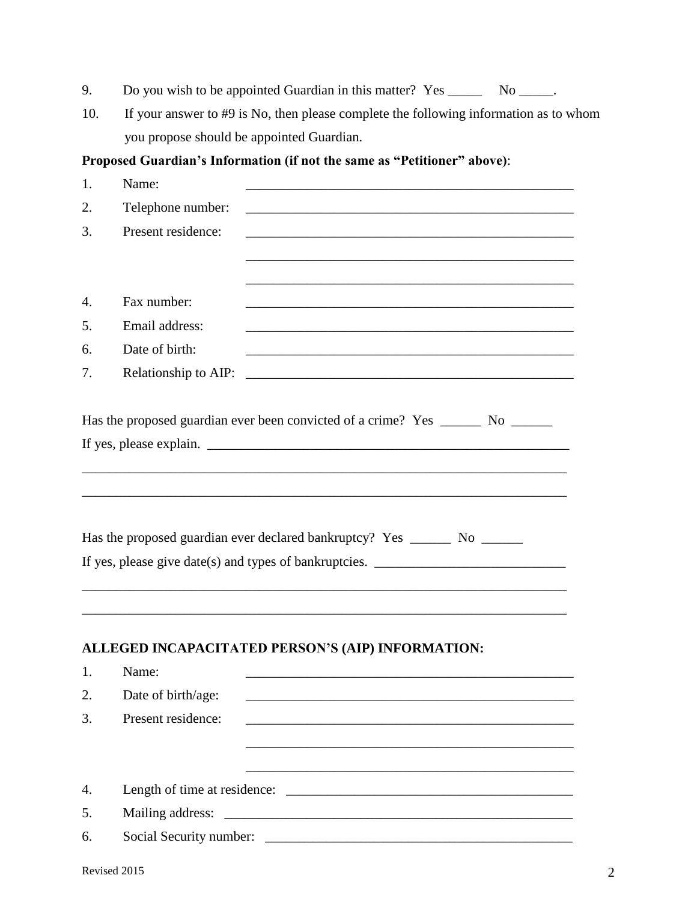|  | Do you wish to be appointed Guardian in this matter? Yes |  |  |  | N <sub>0</sub> |
|--|----------------------------------------------------------|--|--|--|----------------|
|--|----------------------------------------------------------|--|--|--|----------------|

10. If your answer to #9 is No, then please complete the following information as to whom you propose should be appointed Guardian.

# **Proposed Guardian's Information (if not the same as "Petitioner" above)**:

| 1. | Name:                |                                                                                                                  |  |
|----|----------------------|------------------------------------------------------------------------------------------------------------------|--|
| 2. | Telephone number:    |                                                                                                                  |  |
| 3. | Present residence:   |                                                                                                                  |  |
|    |                      |                                                                                                                  |  |
|    |                      |                                                                                                                  |  |
| 4. | Fax number:          |                                                                                                                  |  |
| 5. | Email address:       |                                                                                                                  |  |
| 6. | Date of birth:       | and the control of the control of the control of the control of the control of the control of the control of the |  |
| 7. | Relationship to AIP: |                                                                                                                  |  |
|    |                      | Has the proposed guardian ever been convicted of a crime? Yes ________ No _______                                |  |
|    |                      |                                                                                                                  |  |
|    |                      |                                                                                                                  |  |
|    |                      |                                                                                                                  |  |
|    |                      | Has the proposed guardian ever declared bankruptcy? Yes ________ No ________                                     |  |
|    |                      | If yes, please give date(s) and types of bankruptcies. __________________________                                |  |
|    |                      |                                                                                                                  |  |
|    |                      |                                                                                                                  |  |
|    |                      |                                                                                                                  |  |
|    |                      | ALLEGED INCAPACITATED PERSON'S (AIP) INFORMATION:                                                                |  |
| 1. | Name:                |                                                                                                                  |  |
| 2. | Date of birth/age:   |                                                                                                                  |  |
|    |                      |                                                                                                                  |  |
| 3. | Present residence:   |                                                                                                                  |  |
|    |                      |                                                                                                                  |  |
|    |                      |                                                                                                                  |  |
| 4. |                      |                                                                                                                  |  |
| 5. | Mailing address:     |                                                                                                                  |  |
| 6. |                      |                                                                                                                  |  |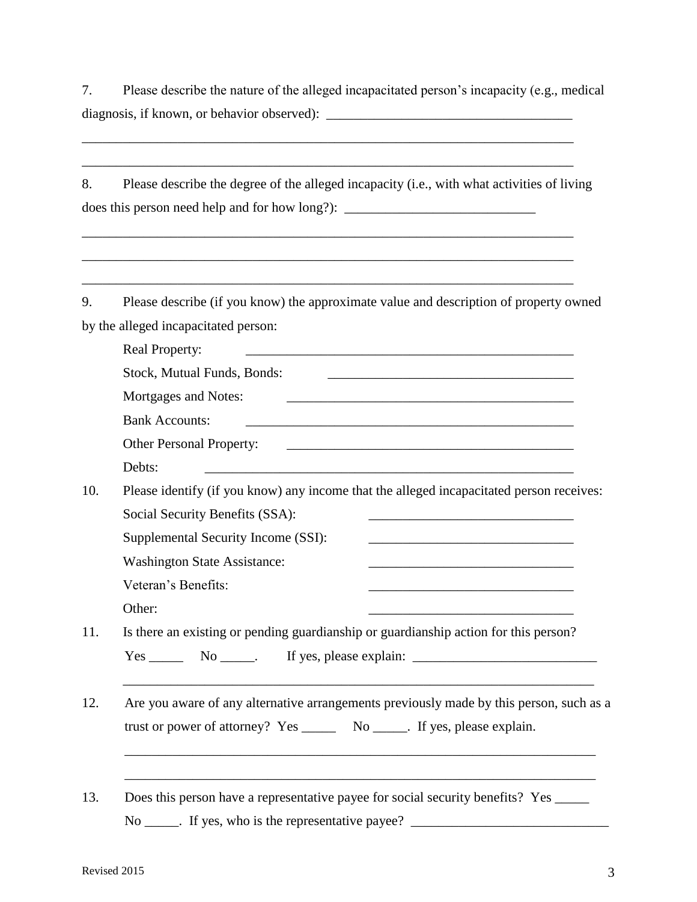7. Please describe the nature of the alleged incapacitated person's incapacity (e.g., medical diagnosis, if known, or behavior observed): \_\_\_\_\_\_\_\_\_\_\_\_\_\_\_\_\_\_\_\_\_\_\_\_\_\_\_\_\_\_\_\_\_\_\_\_

8. Please describe the degree of the alleged incapacity (i.e., with what activities of living does this person need help and for how long?): \_\_\_\_\_\_\_\_\_\_\_\_\_\_\_\_\_\_\_\_\_\_\_\_\_\_\_\_\_\_\_\_\_\_

 $\frac{1}{\sqrt{2}}$  ,  $\frac{1}{\sqrt{2}}$  ,  $\frac{1}{\sqrt{2}}$  ,  $\frac{1}{\sqrt{2}}$  ,  $\frac{1}{\sqrt{2}}$  ,  $\frac{1}{\sqrt{2}}$  ,  $\frac{1}{\sqrt{2}}$  ,  $\frac{1}{\sqrt{2}}$  ,  $\frac{1}{\sqrt{2}}$  ,  $\frac{1}{\sqrt{2}}$  ,  $\frac{1}{\sqrt{2}}$  ,  $\frac{1}{\sqrt{2}}$  ,  $\frac{1}{\sqrt{2}}$  ,  $\frac{1}{\sqrt{2}}$  ,  $\frac{1}{\sqrt{2}}$ 

9. Please describe (if you know) the approximate value and description of property owned by the alleged incapacitated person:

\_\_\_\_\_\_\_\_\_\_\_\_\_\_\_\_\_\_\_\_\_\_\_\_\_\_\_\_\_\_\_\_\_\_\_\_\_\_\_\_\_\_\_\_\_\_\_\_\_\_\_\_\_\_\_\_\_\_\_\_\_\_\_\_\_\_\_\_\_\_\_\_

|                                                                                    | Real Property:<br><u> 1989 - Johann Stein, mars an de Francisco Communication et al. (1989)</u>                     |  |  |
|------------------------------------------------------------------------------------|---------------------------------------------------------------------------------------------------------------------|--|--|
|                                                                                    | Stock, Mutual Funds, Bonds:                                                                                         |  |  |
| Mortgages and Notes:<br><u> 1989 - Johann Barn, amerikansk politiker (d. 1989)</u> |                                                                                                                     |  |  |
|                                                                                    | <b>Bank Accounts:</b>                                                                                               |  |  |
|                                                                                    | Other Personal Property:                                                                                            |  |  |
|                                                                                    | Debts:                                                                                                              |  |  |
|                                                                                    | Please identify (if you know) any income that the alleged incapacitated person receives:                            |  |  |
|                                                                                    | Social Security Benefits (SSA):                                                                                     |  |  |
|                                                                                    | Supplemental Security Income (SSI):<br><u> 1989 - Johann John Stone, mars et al. (1989)</u>                         |  |  |
|                                                                                    | <b>Washington State Assistance:</b>                                                                                 |  |  |
|                                                                                    | Veteran's Benefits:                                                                                                 |  |  |
|                                                                                    | Other:                                                                                                              |  |  |
|                                                                                    | Is there an existing or pending guardianship or guardianship action for this person?                                |  |  |
|                                                                                    | $Yes \_\_\_\_\$ No $\_\_\_\$ . If yes, please explain: $\_\_\_\_\_\_\_\_\_\_\_\_\_\_\_\_\_\_\_\_\_\_\_\_\_\_\_\_\_$ |  |  |
|                                                                                    |                                                                                                                     |  |  |
|                                                                                    | Are you aware of any alternative arrangements previously made by this person, such as a                             |  |  |
|                                                                                    | trust or power of attorney? Yes _________ No ______. If yes, please explain.                                        |  |  |

No \_\_\_\_\_. If yes, who is the representative payee? \_\_\_\_\_\_\_\_\_\_\_\_\_\_\_\_\_\_\_\_\_\_\_\_\_\_\_\_\_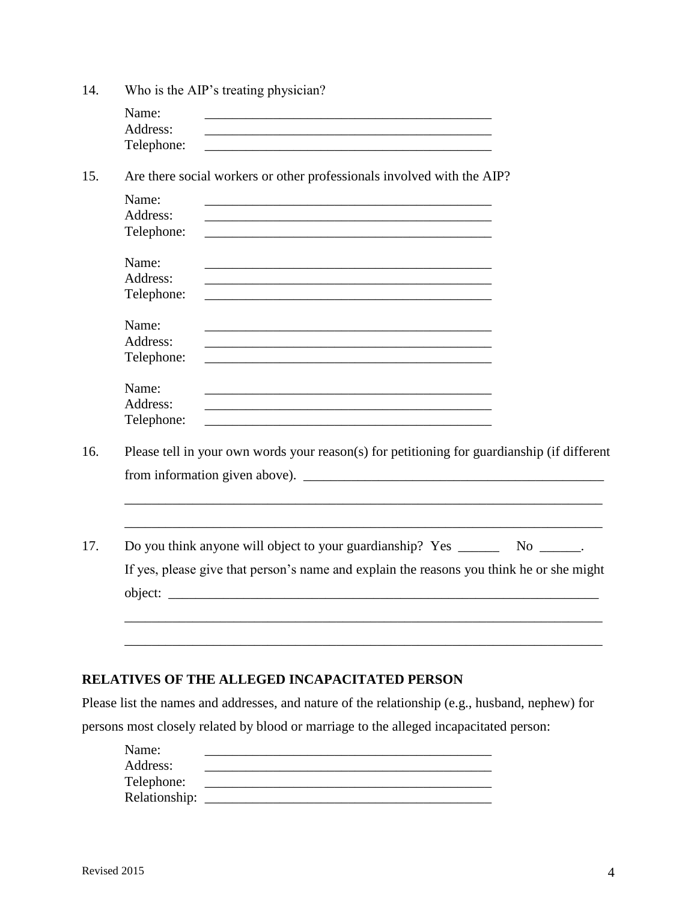| 14. |            | Who is the AIP's treating physician?                                                                                   |  |  |  |  |  |
|-----|------------|------------------------------------------------------------------------------------------------------------------------|--|--|--|--|--|
|     | Name:      |                                                                                                                        |  |  |  |  |  |
|     | Address:   | <u> 1989 - Johann Barn, mars ann an t-Amhain an t-Amhain ann an t-Amhain an t-Amhain an t-Amhain an t-Amhain an t-</u> |  |  |  |  |  |
|     | Telephone: |                                                                                                                        |  |  |  |  |  |
| 15. |            | Are there social workers or other professionals involved with the AIP?                                                 |  |  |  |  |  |
|     | Name:      | <u> 1989 - Johann Stein, marwolaethau a bhann an t-Amhainn an t-Amhainn an t-Amhainn an t-Amhainn an t-Amhainn a</u>   |  |  |  |  |  |
|     | Address:   |                                                                                                                        |  |  |  |  |  |
|     | Telephone: | and the control of the control of the control of the control of the control of the control of the control of the       |  |  |  |  |  |
|     | Name:      |                                                                                                                        |  |  |  |  |  |
|     | Address:   |                                                                                                                        |  |  |  |  |  |
|     | Telephone: |                                                                                                                        |  |  |  |  |  |
|     | Name:      |                                                                                                                        |  |  |  |  |  |
|     | Address:   | and the control of the control of the control of the control of the control of the control of the control of the       |  |  |  |  |  |
|     | Telephone: |                                                                                                                        |  |  |  |  |  |
|     | Name:      | <u> 1989 - Johann Harry Harry Harry Harry Harry Harry Harry Harry Harry Harry Harry Harry Harry Harry Harry Harry</u>  |  |  |  |  |  |
|     | Address:   |                                                                                                                        |  |  |  |  |  |
|     | Telephone: |                                                                                                                        |  |  |  |  |  |
| 16. |            | Please tell in your own words your reason(s) for petitioning for guardianship (if different                            |  |  |  |  |  |
|     |            | from information given above).                                                                                         |  |  |  |  |  |
|     |            |                                                                                                                        |  |  |  |  |  |
|     |            |                                                                                                                        |  |  |  |  |  |
| 17. |            | Do you think anyone will object to your guardianship? Yes ______<br>$No$ ________.                                     |  |  |  |  |  |
|     |            | If yes, please give that person's name and explain the reasons you think he or she might                               |  |  |  |  |  |
|     |            |                                                                                                                        |  |  |  |  |  |
|     |            |                                                                                                                        |  |  |  |  |  |
|     |            |                                                                                                                        |  |  |  |  |  |
|     |            |                                                                                                                        |  |  |  |  |  |
|     |            | <b>RELATIVES OF THE ALLEGED INCAPACITATED PERSON</b>                                                                   |  |  |  |  |  |
|     |            | Please list the names and addresses, and nature of the relationship (e.g., husband, nephew) for                        |  |  |  |  |  |
|     |            | persons most closely related by blood or marriage to the alleged incapacitated person:                                 |  |  |  |  |  |
|     | Name:      |                                                                                                                        |  |  |  |  |  |
|     | Address:   |                                                                                                                        |  |  |  |  |  |

 Telephone: \_\_\_\_\_\_\_\_\_\_\_\_\_\_\_\_\_\_\_\_\_\_\_\_\_\_\_\_\_\_\_\_\_\_\_\_\_\_\_\_\_\_ Relationship: \_\_\_\_\_\_\_\_\_\_\_\_\_\_\_\_\_\_\_\_\_\_\_\_\_\_\_\_\_\_\_\_\_\_\_\_\_\_\_\_\_\_